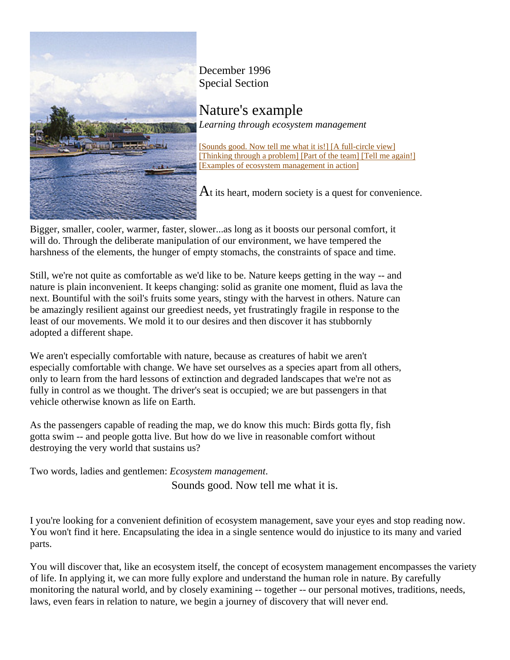

December 1996 Special Section

Nature's example *Learning through ecosystem management*

[Sounds good. Now tell me what it is!] [A full-circle view] [Thinking through a problem] [Part of the team] [Tell me again!] [Examples of ecosystem management in action]

At its heart, modern society is a quest for convenience.

Bigger, smaller, cooler, warmer, faster, slower...as long as it boosts our personal comfort, it will do. Through the deliberate manipulation of our environment, we have tempered the harshness of the elements, the hunger of empty stomachs, the constraints of space and time.

Still, we're not quite as comfortable as we'd like to be. Nature keeps getting in the way -- and nature is plain inconvenient. It keeps changing: solid as granite one moment, fluid as lava the next. Bountiful with the soil's fruits some years, stingy with the harvest in others. Nature can be amazingly resilient against our greediest needs, yet frustratingly fragile in response to the least of our movements. We mold it to our desires and then discover it has stubbornly adopted a different shape.

We aren't especially comfortable with nature, because as creatures of habit we aren't especially comfortable with change. We have set ourselves as a species apart from all others, only to learn from the hard lessons of extinction and degraded landscapes that we're not as fully in control as we thought. The driver's seat is occupied; we are but passengers in that vehicle otherwise known as life on Earth.

As the passengers capable of reading the map, we do know this much: Birds gotta fly, fish gotta swim -- and people gotta live. But how do we live in reasonable comfort without destroying the very world that sustains us?

Two words, ladies and gentlemen: *Ecosystem management*.

Sounds good. Now tell me what it is.

I you're looking for a convenient definition of ecosystem management, save your eyes and stop reading now. You won't find it here. Encapsulating the idea in a single sentence would do injustice to its many and varied parts.

You will discover that, like an ecosystem itself, the concept of ecosystem management encompasses the variety of life. In applying it, we can more fully explore and understand the human role in nature. By carefully monitoring the natural world, and by closely examining -- together -- our personal motives, traditions, needs, laws, even fears in relation to nature, we begin a journey of discovery that will never end.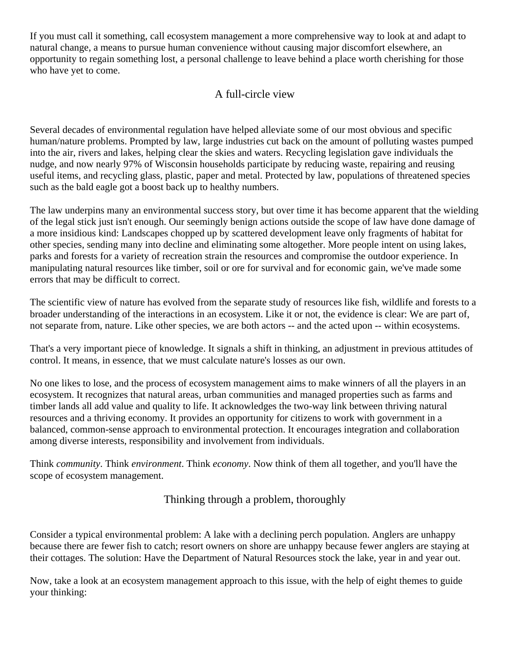If you must call it something, call ecosystem management a more comprehensive way to look at and adapt to natural change, a means to pursue human convenience without causing major discomfort elsewhere, an opportunity to regain something lost, a personal challenge to leave behind a place worth cherishing for those who have yet to come.

# A full-circle view

Several decades of environmental regulation have helped alleviate some of our most obvious and specific human/nature problems. Prompted by law, large industries cut back on the amount of polluting wastes pumped into the air, rivers and lakes, helping clear the skies and waters. Recycling legislation gave individuals the nudge, and now nearly 97% of Wisconsin households participate by reducing waste, repairing and reusing useful items, and recycling glass, plastic, paper and metal. Protected by law, populations of threatened species such as the bald eagle got a boost back up to healthy numbers.

The law underpins many an environmental success story, but over time it has become apparent that the wielding of the legal stick just isn't enough. Our seemingly benign actions outside the scope of law have done damage of a more insidious kind: Landscapes chopped up by scattered development leave only fragments of habitat for other species, sending many into decline and eliminating some altogether. More people intent on using lakes, parks and forests for a variety of recreation strain the resources and compromise the outdoor experience. In manipulating natural resources like timber, soil or ore for survival and for economic gain, we've made some errors that may be difficult to correct.

The scientific view of nature has evolved from the separate study of resources like fish, wildlife and forests to a broader understanding of the interactions in an ecosystem. Like it or not, the evidence is clear: We are part of, not separate from, nature. Like other species, we are both actors -- and the acted upon -- within ecosystems.

That's a very important piece of knowledge. It signals a shift in thinking, an adjustment in previous attitudes of control. It means, in essence, that we must calculate nature's losses as our own.

No one likes to lose, and the process of ecosystem management aims to make winners of all the players in an ecosystem. It recognizes that natural areas, urban communities and managed properties such as farms and timber lands all add value and quality to life. It acknowledges the two-way link between thriving natural resources and a thriving economy. It provides an opportunity for citizens to work with government in a balanced, common-sense approach to environmental protection. It encourages integration and collaboration among diverse interests, responsibility and involvement from individuals.

Think *community*. Think *environment*. Think *economy*. Now think of them all together, and you'll have the scope of ecosystem management.

Thinking through a problem, thoroughly

Consider a typical environmental problem: A lake with a declining perch population. Anglers are unhappy because there are fewer fish to catch; resort owners on shore are unhappy because fewer anglers are staying at their cottages. The solution: Have the Department of Natural Resources stock the lake, year in and year out.

Now, take a look at an ecosystem management approach to this issue, with the help of eight themes to guide your thinking: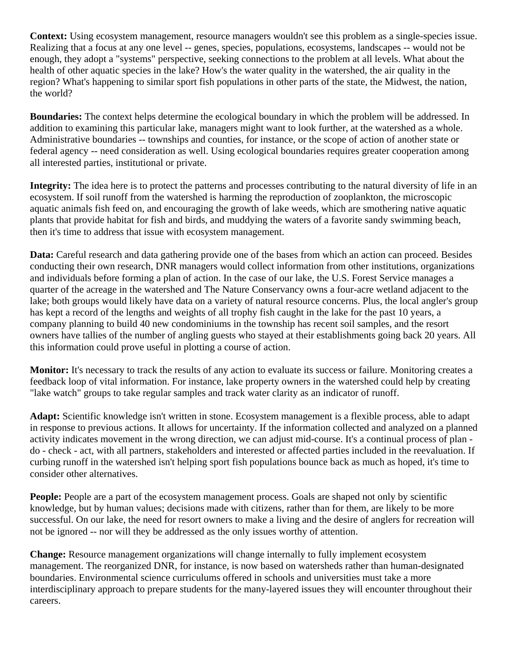**Context:** Using ecosystem management, resource managers wouldn't see this problem as a single-species issue. Realizing that a focus at any one level -- genes, species, populations, ecosystems, landscapes -- would not be enough, they adopt a "systems" perspective, seeking connections to the problem at all levels. What about the health of other aquatic species in the lake? How's the water quality in the watershed, the air quality in the region? What's happening to similar sport fish populations in other parts of the state, the Midwest, the nation, the world?

**Boundaries:** The context helps determine the ecological boundary in which the problem will be addressed. In addition to examining this particular lake, managers might want to look further, at the watershed as a whole. Administrative boundaries -- townships and counties, for instance, or the scope of action of another state or federal agency -- need consideration as well. Using ecological boundaries requires greater cooperation among all interested parties, institutional or private.

**Integrity:** The idea here is to protect the patterns and processes contributing to the natural diversity of life in an ecosystem. If soil runoff from the watershed is harming the reproduction of zooplankton, the microscopic aquatic animals fish feed on, and encouraging the growth of lake weeds, which are smothering native aquatic plants that provide habitat for fish and birds, and muddying the waters of a favorite sandy swimming beach, then it's time to address that issue with ecosystem management.

**Data:** Careful research and data gathering provide one of the bases from which an action can proceed. Besides conducting their own research, DNR managers would collect information from other institutions, organizations and individuals before forming a plan of action. In the case of our lake, the U.S. Forest Service manages a quarter of the acreage in the watershed and The Nature Conservancy owns a four-acre wetland adjacent to the lake; both groups would likely have data on a variety of natural resource concerns. Plus, the local angler's group has kept a record of the lengths and weights of all trophy fish caught in the lake for the past 10 years, a company planning to build 40 new condominiums in the township has recent soil samples, and the resort owners have tallies of the number of angling guests who stayed at their establishments going back 20 years. All this information could prove useful in plotting a course of action.

**Monitor:** It's necessary to track the results of any action to evaluate its success or failure. Monitoring creates a feedback loop of vital information. For instance, lake property owners in the watershed could help by creating "lake watch" groups to take regular samples and track water clarity as an indicator of runoff.

**Adapt:** Scientific knowledge isn't written in stone. Ecosystem management is a flexible process, able to adapt in response to previous actions. It allows for uncertainty. If the information collected and analyzed on a planned activity indicates movement in the wrong direction, we can adjust mid-course. It's a continual process of plan do - check - act, with all partners, stakeholders and interested or affected parties included in the reevaluation. If curbing runoff in the watershed isn't helping sport fish populations bounce back as much as hoped, it's time to consider other alternatives.

**People:** People are a part of the ecosystem management process. Goals are shaped not only by scientific knowledge, but by human values; decisions made with citizens, rather than for them, are likely to be more successful. On our lake, the need for resort owners to make a living and the desire of anglers for recreation will not be ignored -- nor will they be addressed as the only issues worthy of attention.

**Change:** Resource management organizations will change internally to fully implement ecosystem management. The reorganized DNR, for instance, is now based on watersheds rather than human-designated boundaries. Environmental science curriculums offered in schools and universities must take a more interdisciplinary approach to prepare students for the many-layered issues they will encounter throughout their careers.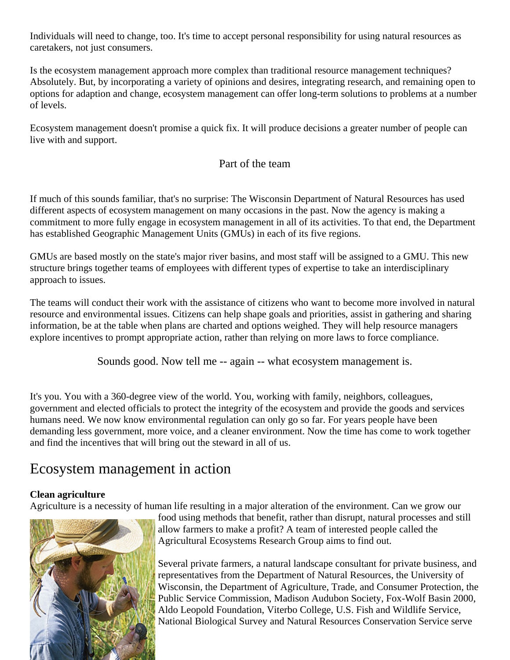Individuals will need to change, too. It's time to accept personal responsibility for using natural resources as caretakers, not just consumers.

Is the ecosystem management approach more complex than traditional resource management techniques? Absolutely. But, by incorporating a variety of opinions and desires, integrating research, and remaining open to options for adaption and change, ecosystem management can offer long-term solutions to problems at a number of levels.

Ecosystem management doesn't promise a quick fix. It will produce decisions a greater number of people can live with and support.

## Part of the team

If much of this sounds familiar, that's no surprise: The Wisconsin Department of Natural Resources has used different aspects of ecosystem management on many occasions in the past. Now the agency is making a commitment to more fully engage in ecosystem management in all of its activities. To that end, the Department has established Geographic Management Units (GMUs) in each of its five regions.

GMUs are based mostly on the state's major river basins, and most staff will be assigned to a GMU. This new structure brings together teams of employees with different types of expertise to take an interdisciplinary approach to issues.

The teams will conduct their work with the assistance of citizens who want to become more involved in natural resource and environmental issues. Citizens can help shape goals and priorities, assist in gathering and sharing information, be at the table when plans are charted and options weighed. They will help resource managers explore incentives to prompt appropriate action, rather than relying on more laws to force compliance.

Sounds good. Now tell me -- again -- what ecosystem management is.

It's you. You with a 360-degree view of the world. You, working with family, neighbors, colleagues, government and elected officials to protect the integrity of the ecosystem and provide the goods and services humans need. We now know environmental regulation can only go so far. For years people have been demanding less government, more voice, and a cleaner environment. Now the time has come to work together and find the incentives that will bring out the steward in all of us.

# Ecosystem management in action

## **Clean agriculture**

Agriculture is a necessity of human life resulting in a major alteration of the environment. Can we grow our



food using methods that benefit, rather than disrupt, natural processes and still allow farmers to make a profit? A team of interested people called the Agricultural Ecosystems Research Group aims to find out.

Several private farmers, a natural landscape consultant for private business, and representatives from the Department of Natural Resources, the University of Wisconsin, the Department of Agriculture, Trade, and Consumer Protection, the Public Service Commission, Madison Audubon Society, Fox-Wolf Basin 2000, Aldo Leopold Foundation, Viterbo College, U.S. Fish and Wildlife Service, National Biological Survey and Natural Resources Conservation Service serve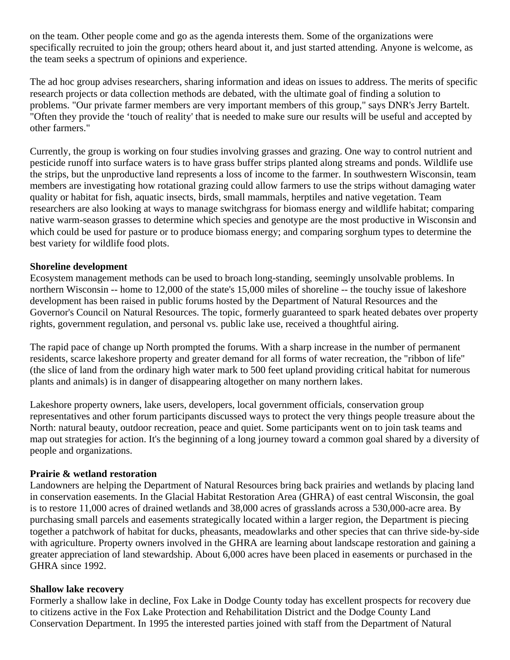on the team. Other people come and go as the agenda interests them. Some of the organizations were specifically recruited to join the group; others heard about it, and just started attending. Anyone is welcome, as the team seeks a spectrum of opinions and experience.

The ad hoc group advises researchers, sharing information and ideas on issues to address. The merits of specific research projects or data collection methods are debated, with the ultimate goal of finding a solution to problems. "Our private farmer members are very important members of this group," says DNR's Jerry Bartelt. "Often they provide the 'touch of reality' that is needed to make sure our results will be useful and accepted by other farmers."

Currently, the group is working on four studies involving grasses and grazing. One way to control nutrient and pesticide runoff into surface waters is to have grass buffer strips planted along streams and ponds. Wildlife use the strips, but the unproductive land represents a loss of income to the farmer. In southwestern Wisconsin, team members are investigating how rotational grazing could allow farmers to use the strips without damaging water quality or habitat for fish, aquatic insects, birds, small mammals, herptiles and native vegetation. Team researchers are also looking at ways to manage switchgrass for biomass energy and wildlife habitat; comparing native warm-season grasses to determine which species and genotype are the most productive in Wisconsin and which could be used for pasture or to produce biomass energy; and comparing sorghum types to determine the best variety for wildlife food plots.

## **Shoreline development**

Ecosystem management methods can be used to broach long-standing, seemingly unsolvable problems. In northern Wisconsin -- home to 12,000 of the state's 15,000 miles of shoreline -- the touchy issue of lakeshore development has been raised in public forums hosted by the Department of Natural Resources and the Governor's Council on Natural Resources. The topic, formerly guaranteed to spark heated debates over property rights, government regulation, and personal vs. public lake use, received a thoughtful airing.

The rapid pace of change up North prompted the forums. With a sharp increase in the number of permanent residents, scarce lakeshore property and greater demand for all forms of water recreation, the "ribbon of life" (the slice of land from the ordinary high water mark to 500 feet upland providing critical habitat for numerous plants and animals) is in danger of disappearing altogether on many northern lakes.

Lakeshore property owners, lake users, developers, local government officials, conservation group representatives and other forum participants discussed ways to protect the very things people treasure about the North: natural beauty, outdoor recreation, peace and quiet. Some participants went on to join task teams and map out strategies for action. It's the beginning of a long journey toward a common goal shared by a diversity of people and organizations.

## **Prairie & wetland restoration**

Landowners are helping the Department of Natural Resources bring back prairies and wetlands by placing land in conservation easements. In the Glacial Habitat Restoration Area (GHRA) of east central Wisconsin, the goal is to restore 11,000 acres of drained wetlands and 38,000 acres of grasslands across a 530,000-acre area. By purchasing small parcels and easements strategically located within a larger region, the Department is piecing together a patchwork of habitat for ducks, pheasants, meadowlarks and other species that can thrive side-by-side with agriculture. Property owners involved in the GHRA are learning about landscape restoration and gaining a greater appreciation of land stewardship. About 6,000 acres have been placed in easements or purchased in the GHRA since 1992.

## **Shallow lake recovery**

Formerly a shallow lake in decline, Fox Lake in Dodge County today has excellent prospects for recovery due to citizens active in the Fox Lake Protection and Rehabilitation District and the Dodge County Land Conservation Department. In 1995 the interested parties joined with staff from the Department of Natural